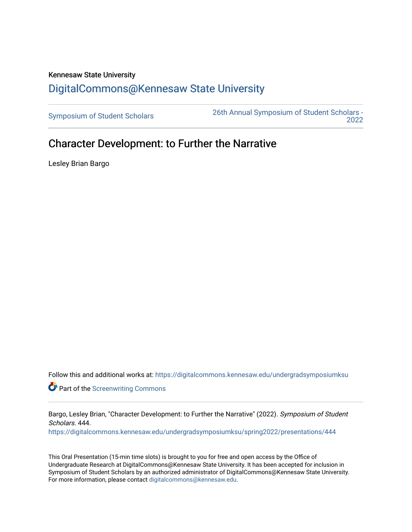## Kennesaw State University [DigitalCommons@Kennesaw State University](https://digitalcommons.kennesaw.edu/)

[Symposium of Student Scholars](https://digitalcommons.kennesaw.edu/undergradsymposiumksu) [26th Annual Symposium of Student Scholars -](https://digitalcommons.kennesaw.edu/undergradsymposiumksu/spring2022)  [2022](https://digitalcommons.kennesaw.edu/undergradsymposiumksu/spring2022) 

## Character Development: to Further the Narrative

Lesley Brian Bargo

Follow this and additional works at: [https://digitalcommons.kennesaw.edu/undergradsymposiumksu](https://digitalcommons.kennesaw.edu/undergradsymposiumksu?utm_source=digitalcommons.kennesaw.edu%2Fundergradsymposiumksu%2Fspring2022%2Fpresentations%2F444&utm_medium=PDF&utm_campaign=PDFCoverPages) 

**Part of the Screenwriting Commons** 

Bargo, Lesley Brian, "Character Development: to Further the Narrative" (2022). Symposium of Student Scholars. 444.

[https://digitalcommons.kennesaw.edu/undergradsymposiumksu/spring2022/presentations/444](https://digitalcommons.kennesaw.edu/undergradsymposiumksu/spring2022/presentations/444?utm_source=digitalcommons.kennesaw.edu%2Fundergradsymposiumksu%2Fspring2022%2Fpresentations%2F444&utm_medium=PDF&utm_campaign=PDFCoverPages)

This Oral Presentation (15-min time slots) is brought to you for free and open access by the Office of Undergraduate Research at DigitalCommons@Kennesaw State University. It has been accepted for inclusion in Symposium of Student Scholars by an authorized administrator of DigitalCommons@Kennesaw State University. For more information, please contact [digitalcommons@kennesaw.edu.](mailto:digitalcommons@kennesaw.edu)